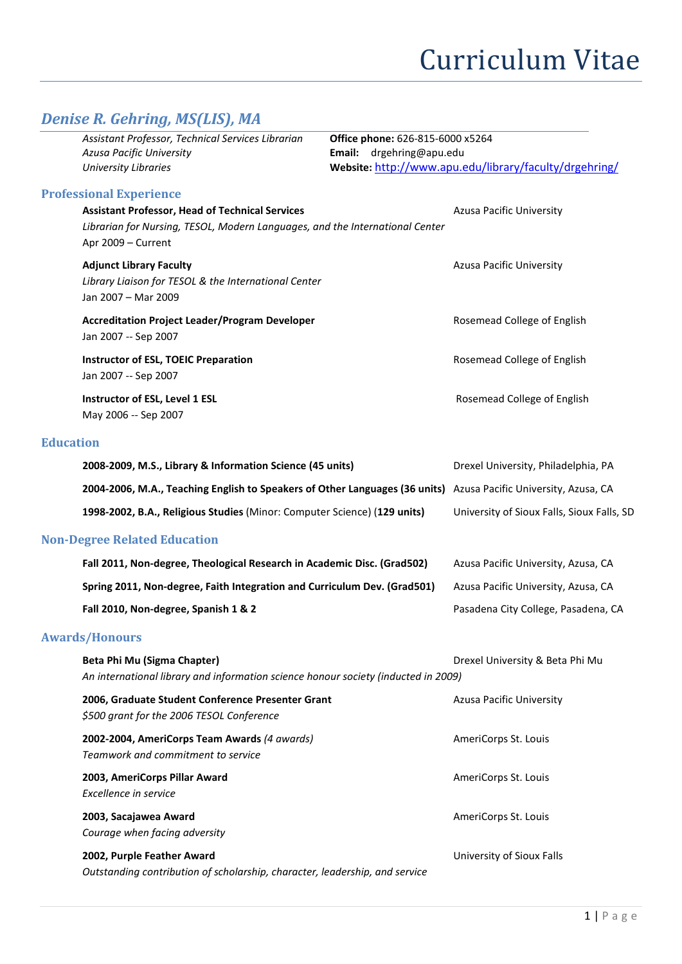## *Denise R. Gehring, MS(LIS), MA*

|                  | Assistant Professor, Technical Services Librarian<br>Office phone: 626-815-6000 x5264<br>Azusa Pacific University<br>Email: drgehring@apu.edu                |                                                        |                                            |  |
|------------------|--------------------------------------------------------------------------------------------------------------------------------------------------------------|--------------------------------------------------------|--------------------------------------------|--|
|                  | <b>University Libraries</b>                                                                                                                                  | Website: http://www.apu.edu/library/faculty/drgehring/ |                                            |  |
|                  | <b>Professional Experience</b>                                                                                                                               |                                                        |                                            |  |
|                  | <b>Assistant Professor, Head of Technical Services</b><br>Librarian for Nursing, TESOL, Modern Languages, and the International Center<br>Apr 2009 - Current |                                                        | Azusa Pacific University                   |  |
|                  | <b>Adjunct Library Faculty</b><br>Library Liaison for TESOL & the International Center<br>Jan 2007 - Mar 2009                                                |                                                        | <b>Azusa Pacific University</b>            |  |
|                  | <b>Accreditation Project Leader/Program Developer</b><br>Jan 2007 -- Sep 2007                                                                                |                                                        | Rosemead College of English                |  |
|                  | <b>Instructor of ESL, TOEIC Preparation</b><br>Jan 2007 -- Sep 2007                                                                                          |                                                        | Rosemead College of English                |  |
|                  | Instructor of ESL, Level 1 ESL<br>May 2006 -- Sep 2007                                                                                                       |                                                        | Rosemead College of English                |  |
| <b>Education</b> |                                                                                                                                                              |                                                        |                                            |  |
|                  | 2008-2009, M.S., Library & Information Science (45 units)                                                                                                    |                                                        | Drexel University, Philadelphia, PA        |  |
|                  | 2004-2006, M.A., Teaching English to Speakers of Other Languages (36 units)                                                                                  |                                                        | Azusa Pacific University, Azusa, CA        |  |
|                  | 1998-2002, B.A., Religious Studies (Minor: Computer Science) (129 units)                                                                                     |                                                        | University of Sioux Falls, Sioux Falls, SD |  |
|                  | <b>Non-Degree Related Education</b>                                                                                                                          |                                                        |                                            |  |
|                  | Fall 2011, Non-degree, Theological Research in Academic Disc. (Grad502)                                                                                      |                                                        | Azusa Pacific University, Azusa, CA        |  |
|                  | Spring 2011, Non-degree, Faith Integration and Curriculum Dev. (Grad501)                                                                                     |                                                        | Azusa Pacific University, Azusa, CA        |  |
|                  | Fall 2010, Non-degree, Spanish 1 & 2                                                                                                                         |                                                        | Pasadena City College, Pasadena, CA        |  |
|                  | <b>Awards/Honours</b>                                                                                                                                        |                                                        |                                            |  |
|                  | Beta Phi Mu (Sigma Chapter)<br>An international library and information science honour society (inducted in 2009)                                            |                                                        | Drexel University & Beta Phi Mu            |  |
|                  | 2006, Graduate Student Conference Presenter Grant<br>\$500 grant for the 2006 TESOL Conference                                                               |                                                        | Azusa Pacific University                   |  |
|                  | 2002-2004, AmeriCorps Team Awards (4 awards)<br>Teamwork and commitment to service                                                                           |                                                        | AmeriCorps St. Louis                       |  |
|                  | 2003, AmeriCorps Pillar Award<br>Excellence in service                                                                                                       |                                                        | AmeriCorps St. Louis                       |  |
|                  | 2003, Sacajawea Award<br>Courage when facing adversity                                                                                                       |                                                        | AmeriCorps St. Louis                       |  |
|                  | 2002, Purple Feather Award<br>Outstanding contribution of scholarship, character, leadership, and service                                                    |                                                        | University of Sioux Falls                  |  |